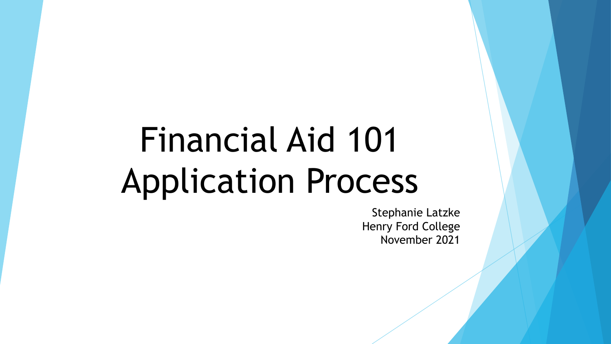# Financial Aid 101 Application Process

Stephanie Latzke Henry Ford College November 2021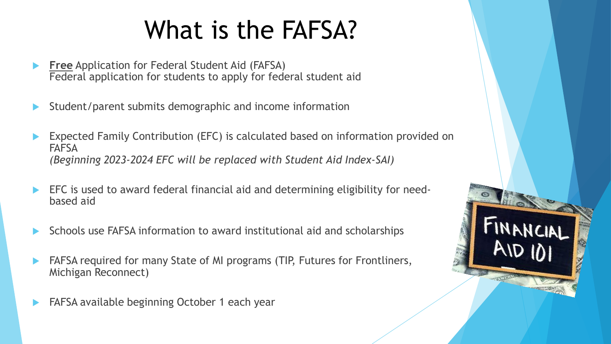# What is the FAFSA?

- **Free** Application for Federal Student Aid (FAFSA) Federal application for students to apply for federal student aid
- Student/parent submits demographic and income information
- Expected Family Contribution (EFC) is calculated based on information provided on **FAFSA** *(Beginning 2023-2024 EFC will be replaced with Student Aid Index-SAI)*
- EFC is used to award federal financial aid and determining eligibility for needbased aid
- Schools use FAFSA information to award institutional aid and scholarships
- FAFSA required for many State of MI programs (TIP, Futures for Frontliners, Michigan Reconnect)
- FAFSA available beginning October 1 each year

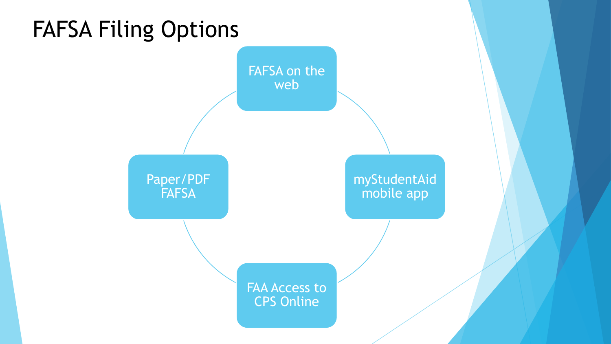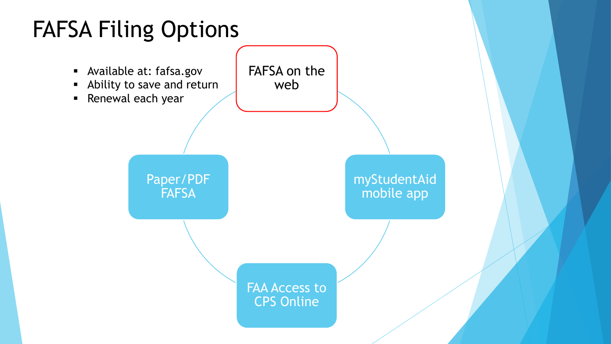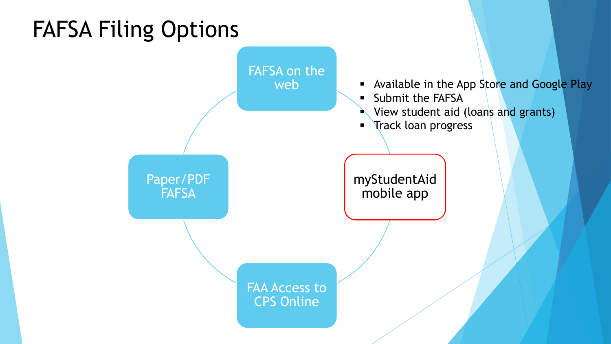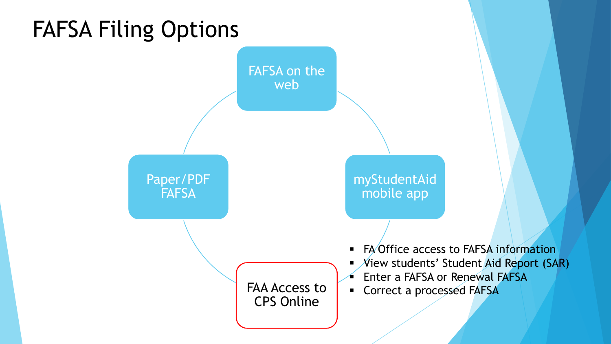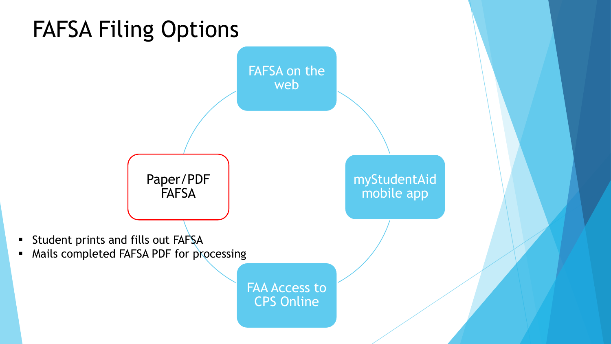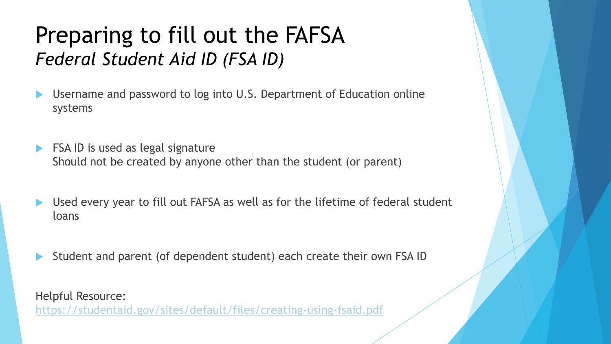#### Preparing to fill out the FAFSA *Federal Student Aid ID (FSA ID)*

- Username and password to log into U.S. Department of Education online systems
- FSA ID is used as legal signature Should not be created by anyone other than the student (or parent)
- Used every year to fill out FAFSA as well as for the lifetime of federal student loans
- Student and parent (of dependent student) each create their own FSA ID

Helpful Resource: <https://studentaid.gov/sites/default/files/creating-using-fsaid.pdf>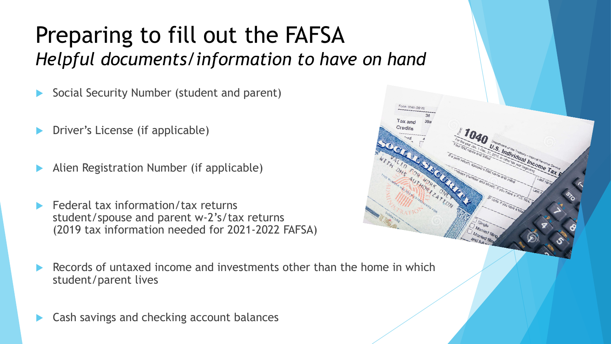#### Preparing to fill out the FAFSA *Helpful documents/information to have on hand*

- Social Security Number (student and parent)
- Driver's License (if applicable)
- Alien Registration Number (if applicable)
- Federal tax information/tax returns student/spouse and parent w-2's/tax returns (2019 tax information needed for 2021-2022 FAFSA)
- Records of untaxed income and investments other than the home in which student/parent lives

and the Treasury Internal Revenue Service

Cash savings and checking account balances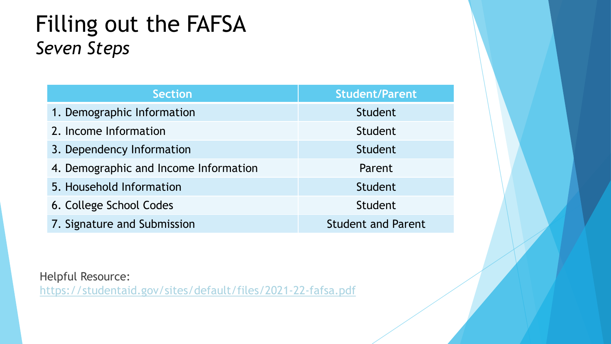#### Filling out the FAFSA *Seven Steps*

| <b>Section</b>                        | <b>Student/Parent</b>     |
|---------------------------------------|---------------------------|
| 1. Demographic Information            | Student                   |
| 2. Income Information                 | Student                   |
| 3. Dependency Information             | Student                   |
| 4. Demographic and Income Information | Parent                    |
| 5. Household Information              | Student                   |
| 6. College School Codes               | Student                   |
| 7. Signature and Submission           | <b>Student and Parent</b> |

Helpful Resource:

<https://studentaid.gov/sites/default/files/2021-22-fafsa.pdf>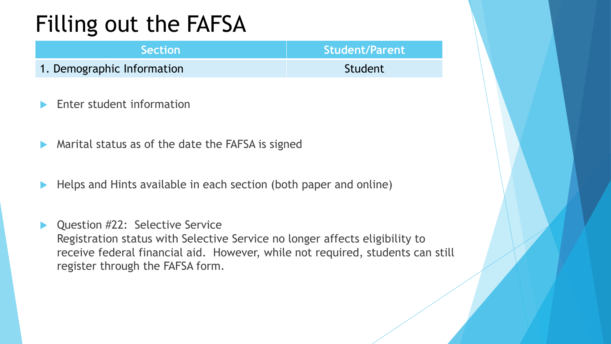| <b>Section</b>             | Student/Parent |
|----------------------------|----------------|
| 1. Demographic Information | Student        |

- Enter student information
- Marital status as of the date the FAFSA is signed
- Helps and Hints available in each section (both paper and online)
- Question #22: Selective Service Registration status with Selective Service no longer affects eligibility to receive federal financial aid. However, while not required, students can still register through the FAFSA form.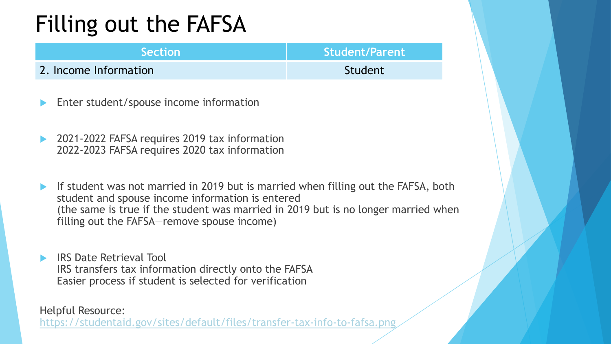| <b>Section</b>        | Student/Parent |
|-----------------------|----------------|
| 2. Income Information | Student        |

- Enter student/spouse income information
- 2021-2022 FAFSA requires 2019 tax information 2022-2023 FAFSA requires 2020 tax information
- If student was not married in 2019 but is married when filling out the FAFSA, both student and spouse income information is entered (the same is true if the student was married in 2019 but is no longer married when filling out the FAFSA—remove spouse income)
- IRS Date Retrieval Tool IRS transfers tax information directly onto the FAFSA Easier process if student is selected for verification

#### Helpful Resource:

<https://studentaid.gov/sites/default/files/transfer-tax-info-to-fafsa.png>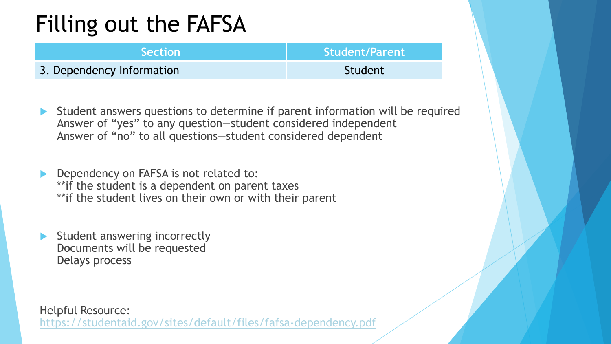| <b>Section</b>            | Student/Parent |
|---------------------------|----------------|
| 3. Dependency Information | Student        |

- Student answers questions to determine if parent information will be required Answer of "yes" to any question—student considered independent Answer of "no" to all questions—student considered dependent
- Dependency on FAFSA is not related to: \*\*if the student is a dependent on parent taxes \*\*if the student lives on their own or with their parent
- Student answering incorrectly Documents will be requested Delays process

Helpful Resource: <https://studentaid.gov/sites/default/files/fafsa-dependency.pdf>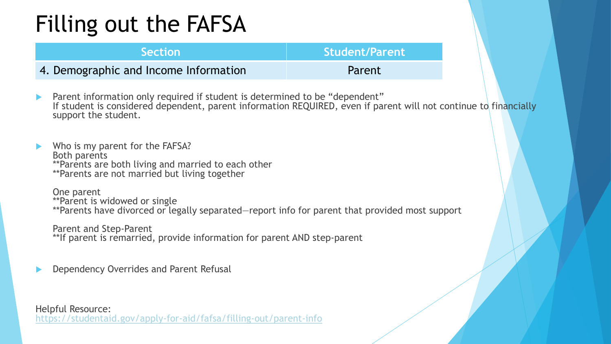| <b>Section</b>                        | Student/Parent |
|---------------------------------------|----------------|
| 4. Demographic and Income Information | <b>Parent</b>  |

- **Parent information only required if student is determined to be "dependent"** If student is considered dependent, parent information REQUIRED, even if parent will not continue to financially support the student.
- Who is my parent for the FAFSA? Both parents \*\*Parents are both living and married to each other \*\*Parents are not married but living together

One parent \*\*Parent is widowed or single \*\*Parents have divorced or legally separated—report info for parent that provided most support

Parent and Step-Parent \*\*If parent is remarried, provide information for parent AND step-parent

Dependency Overrides and Parent Refusal

Helpful Resource: <https://studentaid.gov/apply-for-aid/fafsa/filling-out/parent-info>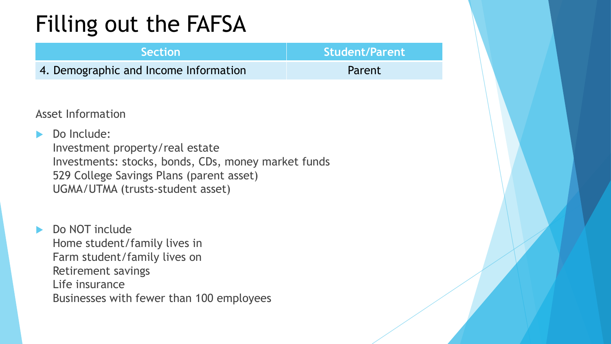| <b>Section</b>                        | Student/Parent |
|---------------------------------------|----------------|
| 4. Demographic and Income Information | Parent         |

Asset Information

Do Include:

Investment property/real estate Investments: stocks, bonds, CDs, money market funds 529 College Savings Plans (parent asset) UGMA/UTMA (trusts-student asset)

 Do NOT include Home student/family lives in Farm student/family lives on Retirement savings Life insurance Businesses with fewer than 100 employees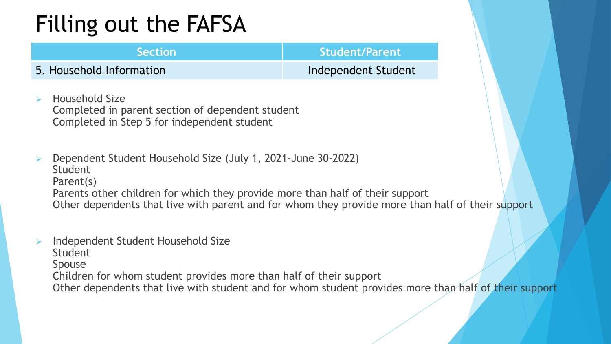#### **Section Section Student/Parent**

5. Household Information **Independent Student** 

- Household Size Completed in parent section of dependent student Completed in Step 5 for independent student
- Dependent Student Household Size (July 1, 2021-June 30-2022) **Student** Parent(s) Parents other children for which they provide more than half of their support Other dependents that live with parent and for whom they provide more than half of their support
- Independent Student Household Size

**Student** 

**Spouse** 

Children for whom student provides more than half of their support

Other dependents that live with student and for whom student provides more than half of their support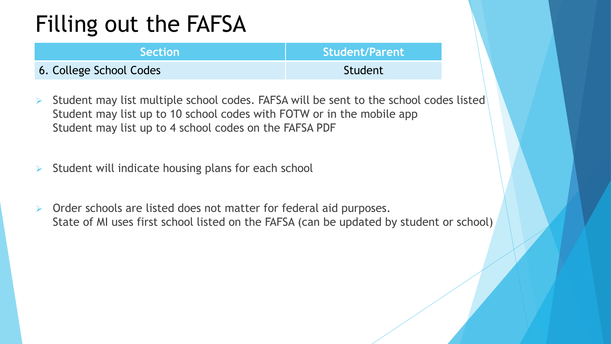| <b>Section</b>          | <b>Student/Parent</b> |
|-------------------------|-----------------------|
| 6. College School Codes | Student               |

- $\triangleright$  Student may list multiple school codes. FAFSA will be sent to the school codes listed Student may list up to 10 school codes with FOTW or in the mobile app Student may list up to 4 school codes on the FAFSA PDF
- $\triangleright$  Student will indicate housing plans for each school
- $\triangleright$  Order schools are listed does not matter for federal aid purposes. State of MI uses first school listed on the FAFSA (can be updated by student or school)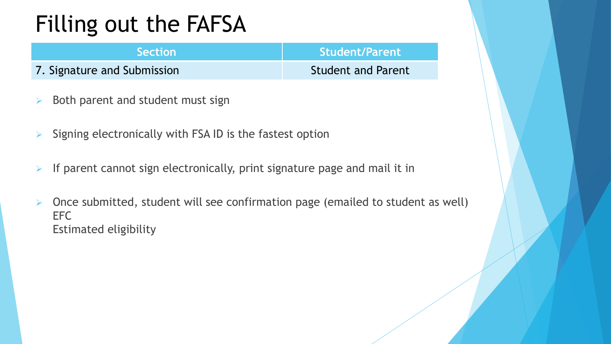| <b>Section</b>              | <b>Student/Parent</b>     |
|-----------------------------|---------------------------|
| 7. Signature and Submission | <b>Student and Parent</b> |

- $\triangleright$  Both parent and student must sign
- $\triangleright$  Signing electronically with FSA ID is the fastest option
- If parent cannot sign electronically, print signature page and mail it in
- $\triangleright$  Once submitted, student will see confirmation page (emailed to student as well) EFC Estimated eligibility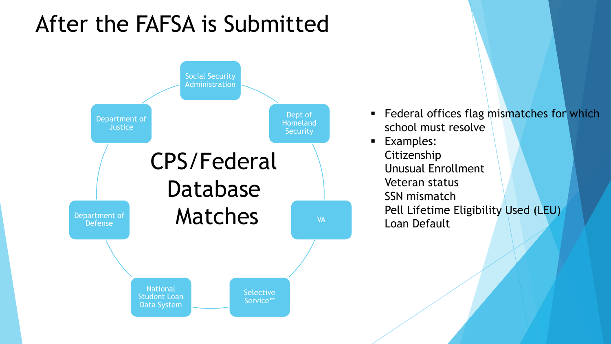#### After the FAFSA is Submitted

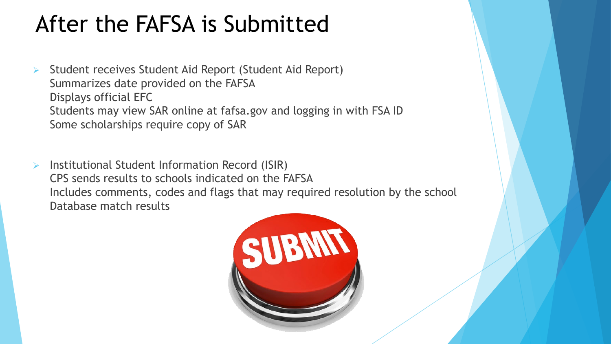#### After the FAFSA is Submitted

- Student receives Student Aid Report (Student Aid Report) Summarizes date provided on the FAFSA Displays official EFC Students may view SAR online at fafsa.gov and logging in with FSA ID Some scholarships require copy of SAR
- Institutional Student Information Record (ISIR) CPS sends results to schools indicated on the FAFSA Includes comments, codes and flags that may required resolution by the school Database match results

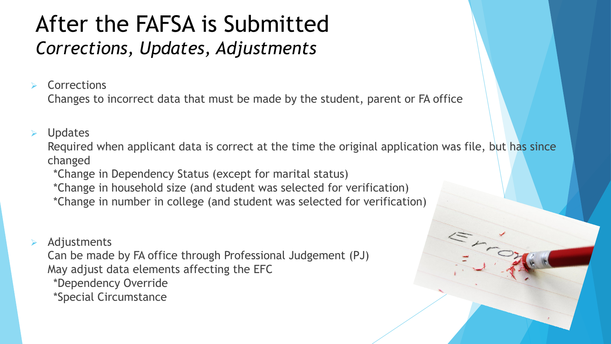#### After the FAFSA is Submitted *Corrections, Updates, Adjustments*

**Corrections** 

Changes to incorrect data that must be made by the student, parent or FA office

Updates

Required when applicant data is correct at the time the original application was file, but has since changed

\*Change in Dependency Status (except for marital status)

\*Change in household size (and student was selected for verification)

\*Change in number in college (and student was selected for verification)

#### Adjustments

Can be made by FA office through Professional Judgement (PJ) May adjust data elements affecting the EFC

- \*Dependency Override
- \*Special Circumstance